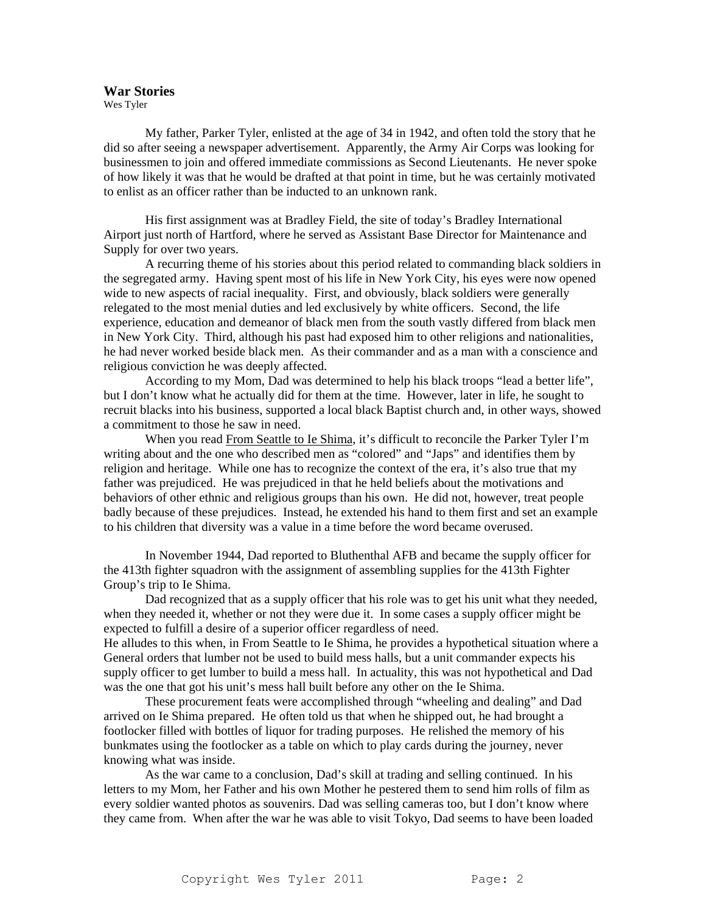## **War Stories**

Wes Tyler

 My father, Parker Tyler, enlisted at the age of 34 in 1942, and often told the story that he did so after seeing a newspaper advertisement. Apparently, the Army Air Corps was looking for businessmen to join and offered immediate commissions as Second Lieutenants. He never spoke of how likely it was that he would be drafted at that point in time, but he was certainly motivated to enlist as an officer rather than be inducted to an unknown rank.

 His first assignment was at Bradley Field, the site of today's Bradley International Airport just north of Hartford, where he served as Assistant Base Director for Maintenance and Supply for over two years.

 A recurring theme of his stories about this period related to commanding black soldiers in the segregated army. Having spent most of his life in New York City, his eyes were now opened wide to new aspects of racial inequality. First, and obviously, black soldiers were generally relegated to the most menial duties and led exclusively by white officers. Second, the life experience, education and demeanor of black men from the south vastly differed from black men in New York City. Third, although his past had exposed him to other religions and nationalities, he had never worked beside black men. As their commander and as a man with a conscience and religious conviction he was deeply affected.

 According to my Mom, Dad was determined to help his black troops "lead a better life", but I don't know what he actually did for them at the time. However, later in life, he sought to recruit blacks into his business, supported a local black Baptist church and, in other ways, showed a commitment to those he saw in need.

 When you read From Seattle to Ie Shima, it's difficult to reconcile the Parker Tyler I'm writing about and the one who described men as "colored" and "Japs" and identifies them by religion and heritage. While one has to recognize the context of the era, it's also true that my father was prejudiced. He was prejudiced in that he held beliefs about the motivations and behaviors of other ethnic and religious groups than his own. He did not, however, treat people badly because of these prejudices. Instead, he extended his hand to them first and set an example to his children that diversity was a value in a time before the word became overused.

In November 1944, Dad reported to Bluthenthal AFB and became the supply officer for the 413th fighter squadron with the assignment of assembling supplies for the 413th Fighter Group's trip to Ie Shima.

Dad recognized that as a supply officer that his role was to get his unit what they needed, when they needed it, whether or not they were due it. In some cases a supply officer might be expected to fulfill a desire of a superior officer regardless of need.

He alludes to this when, in From Seattle to Ie Shima, he provides a hypothetical situation where a General orders that lumber not be used to build mess halls, but a unit commander expects his supply officer to get lumber to build a mess hall. In actuality, this was not hypothetical and Dad was the one that got his unit's mess hall built before any other on the Ie Shima.

 These procurement feats were accomplished through "wheeling and dealing" and Dad arrived on Ie Shima prepared. He often told us that when he shipped out, he had brought a footlocker filled with bottles of liquor for trading purposes. He relished the memory of his bunkmates using the footlocker as a table on which to play cards during the journey, never knowing what was inside.

 As the war came to a conclusion, Dad's skill at trading and selling continued. In his letters to my Mom, her Father and his own Mother he pestered them to send him rolls of film as every soldier wanted photos as souvenirs. Dad was selling cameras too, but I don't know where they came from. When after the war he was able to visit Tokyo, Dad seems to have been loaded